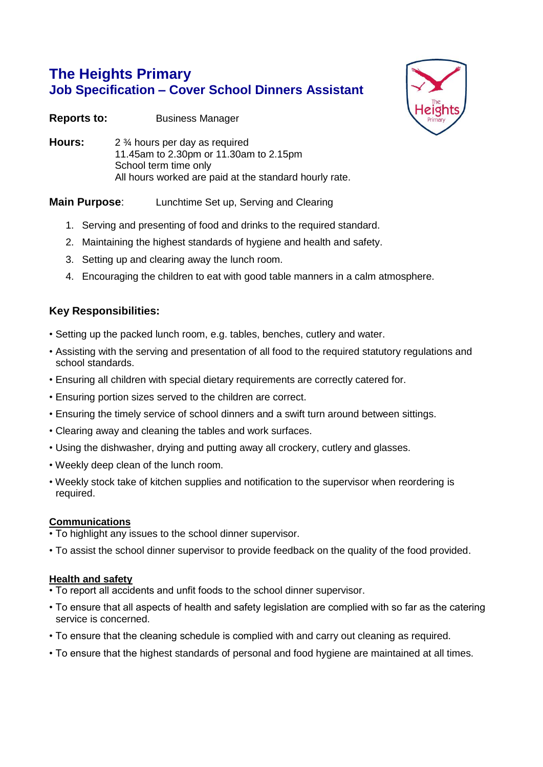# **The Heights Primary Job Specification – Cover School Dinners Assistant**

**Reports to:** Business Manager

**Hours:** 2 ¾ hours per day as required 11.45am to 2.30pm or 11.30am to 2.15pm School term time only All hours worked are paid at the standard hourly rate.

**Main Purpose**: Lunchtime Set up, Serving and Clearing

- 1. Serving and presenting of food and drinks to the required standard.
- 2. Maintaining the highest standards of hygiene and health and safety.
- 3. Setting up and clearing away the lunch room.
- 4. Encouraging the children to eat with good table manners in a calm atmosphere.

# **Key Responsibilities:**

- Setting up the packed lunch room, e.g. tables, benches, cutlery and water.
- Assisting with the serving and presentation of all food to the required statutory regulations and school standards.
- Ensuring all children with special dietary requirements are correctly catered for.
- Ensuring portion sizes served to the children are correct.
- Ensuring the timely service of school dinners and a swift turn around between sittings.
- Clearing away and cleaning the tables and work surfaces.
- Using the dishwasher, drying and putting away all crockery, cutlery and glasses.
- Weekly deep clean of the lunch room.
- Weekly stock take of kitchen supplies and notification to the supervisor when reordering is required.

#### **Communications**

- To highlight any issues to the school dinner supervisor.
- To assist the school dinner supervisor to provide feedback on the quality of the food provided.

#### **Health and safety**

- To report all accidents and unfit foods to the school dinner supervisor.
- To ensure that all aspects of health and safety legislation are complied with so far as the catering service is concerned.
- To ensure that the cleaning schedule is complied with and carry out cleaning as required.
- To ensure that the highest standards of personal and food hygiene are maintained at all times.